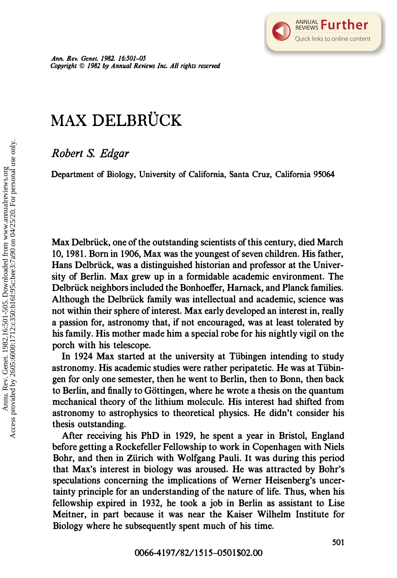

## MAX DELBRÜCK

Robert S. Edgar

Department of Biology, University of California, Santa Cruz, California 95064

Max Delbriick, one of the outstanding scientists of this century, died March 10, 1981. Born in 1906, Max was the youngest of seven children. His father, Hans Delbriick, was a distinguished historian and professor at the University of Berlin. Max grew up in a formidable academic environment. The Delbriick neighbors included the Bonhoeffer, Harnack, and Planck families. Although the Delbriick family was intellectual and academic, science was not within their sphere of interest. Max early developed an interest in, really a passion for, astronomy that, if not encouraged, was at least tolerated by his family. His mother made him a special robe for his nightly vigil on the porch with his telescope.

In 1924 Max started at the university at Tübingen intending to study astronomy. His academic studies were rather peripatetic. He was at Tiibingen for only one semester, then he went to Berlin, then to Bonn, then back to Berlin, and finally to Göttingen, where he wrote a thesis on the quantum mechanical theory of the lithium molecule. His interest had shifted from astronomy to astrophysics to theoretical physics. He didn't consider his thesis outstanding.

After receiving his PhD in 1929, he spent a year in Bristol, England before getting a Rockefeller Fellowship to work in Copenhagen with Niels Bohr, and then in Ziirich with Wolfgang Pauli. It was during this period that Max's interest in biology was aroused. He was attracted by Bohr's speculations concerning the implications of Werner Heisenberg's uncertainty principle for an understanding of the nature of life. Thus, when his fellowship expired in 1932, he took a job in Berlin as assistant to Lise Meitner, in part because it was near the Kaiser Wilhelm Institute for Biology where he subsequently spent much of his time.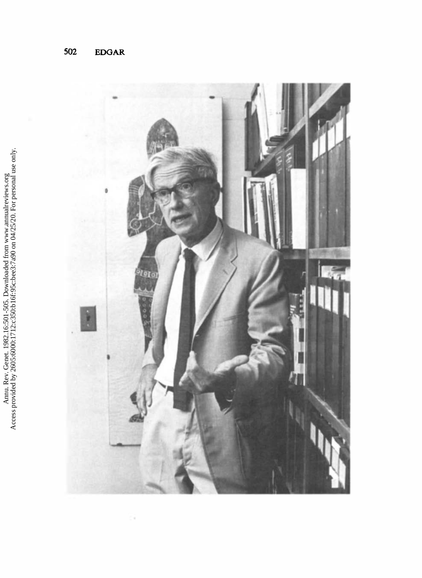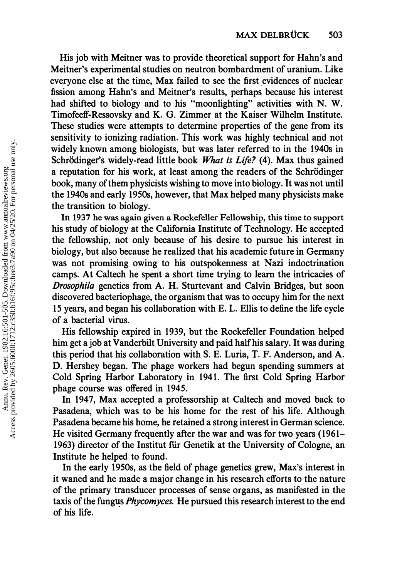His job with Meitner was to provide theoretical support for Hahn's and Meitner's experimental studies on neutron bombardment of uranium. Like everyone else at the time, Max failed to see the first evidences of nuclear fission among Hahn's and Meitner's results, perhaps because his interest had shifted to biology and to his "moonlighting" activities with N. W. Timofeeff-Ressovsky and K. G. Zimmer at the Kaiser Wilhelm Institute. These studies were attempts to determine properties of the gene from its sensitivity to ionizing radiation. This work was highly technical and not widely known among biologists, but was later referred to in the 19408 in Schrödinger's widely-read little book *What is Life?* (4). Max thus gained a reputation for his work, at least among the readers of the Schrödinger book, many of them physicists wishing to move into biology. It was not until the 19408 and early 1950s, however, that Max helped many physicists make the transition to biology.

In 1937 he was again given a Rockefeller Fellowship, this time to support his study of biology at the California Institute of Technology. He accepted the fellowship, not only because of his desire to pursue his interest in biology, but also because he realized that his academic future in Germany was not promising owing to his outspokenness at Nazi indoctrination camps. At Caltech he spent a short time trying to learn the intricacies of Drosophila genetics from A. H. Sturtevant and Calvin Bridges, but soon discovered bacteriophage, the organism that was to occupy him for the next 15 years, and began his collaboration with E. L. Ellis to define the life cycle of a bacterial virus.

His fellowship expired in 1939, but the Rockefeller Foundation helped him get ajob at Vanderbilt University and paid half his salary. It was during this period that his collaboration with S. E. Luria, T. F. Anderson, and A. D. Hershey began. The phage workers had begun spending summers at Cold Spring Harbor Laboratory in 1941. The first Cold Spring Harbor phage course was offered in 1945.

In 1947, Max accepted a professorship at Caltech and moved back to Pasadena, which was to be his home for the rest of his life. Although Pasadena became his home, he retained a strong interest in German science. He visited Germany frequently after the war and was for two years (1961- 1963) director of the Institut für Genetik at the University of Cologne, an Institute he helped to found.

In the early 1950s, as the field of phage genetics grew, Max's interest in it waned and he made a major change in his research efforts to the nature of the primary transducer processes of sense organs, as manifested in the taxis of the fungus *Phycomyces*. He pursued this research interest to the end of his life.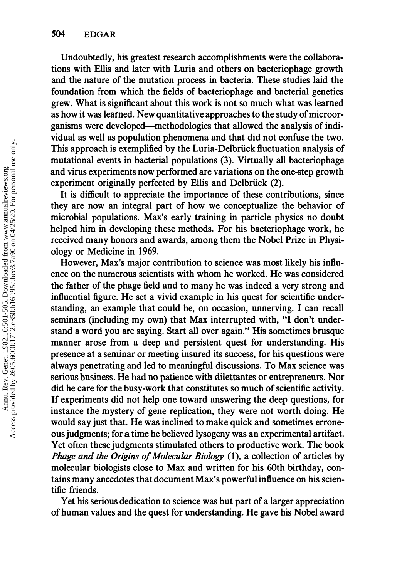Undoubtedly, his greatest research accomplishments were the collaborations with Ellis and later with Luria and others on bacteriophage growth and the nature of the mutation process in bacteria. These studies laid the foundation from which the fields of bacteriophage and bacterial genetics grew. What is significant about this work is not so much what was learned as how it was learned. New quantitative approaches to the study of microorganisms were developed-methodologies that allowed the analysis of individual as well as population phenomena and that did not confuse the two. This approach is exemplified by the Luria-Delbriick fluctuation analysis of mutational events in bacterial populations (3). Virtually all bacteriophage and virus experiments now performed are variations on the one-step growth experiment originally perfected by Ellis and Delbriick (2).

It is difficult to appreciate the importance of these contributions, since they are now an integral part of how we conceptualize the behavior of microbial populations. Max's early training in particle physics no doubt helped him in developing these methods. For his bacteriophage work, he received many honors and awards, among them the Nobel Prize in Physiology or Medicine in 1969.

However, Max's major contribution to science was most likely his influence on the numerous scientists with whom he worked. He was considered the father of the phage field and to many he was indeed a very strong and influential figure. He set a vivid example in his quest for scientific understanding, an example that could be, on occasion, unnerving. 1 can recall seminars (including my own) that Max interrupted with, "I don't understand a word you are saying. Start all over again." His sometimes brusque manner arose from a deep and persistent quest for understanding. His presence at a seminar or meeting insured its success, for his questions were always penetrating and led to meaningful discussions. To Max science was serious business. He had no patience with dilettantes or entrepreneurs. Nor did he care for the busy-work that constitutes so much of scientific activity. If experiments did not help one toward answering the deep questions, for instance the mystery of gene replication, they were not worth doing. He would say just that. He was inclined to make quick and sometimes erroneous judgments; for a time he believed lysogeny was an experimental artifact. Yet often these judgments stimulated others to productive work. The book Phage and the Origins of Molecular Biology (1), a collection of articles by molecular biologists close to Max and written for his 60th birthday, contains many anecdotes that document Max's powerful influence on his scientific friends.

Yet his serious dedication to science was but part of a larger appreciation of human values and the quest for understanding. He gave his Nobel award